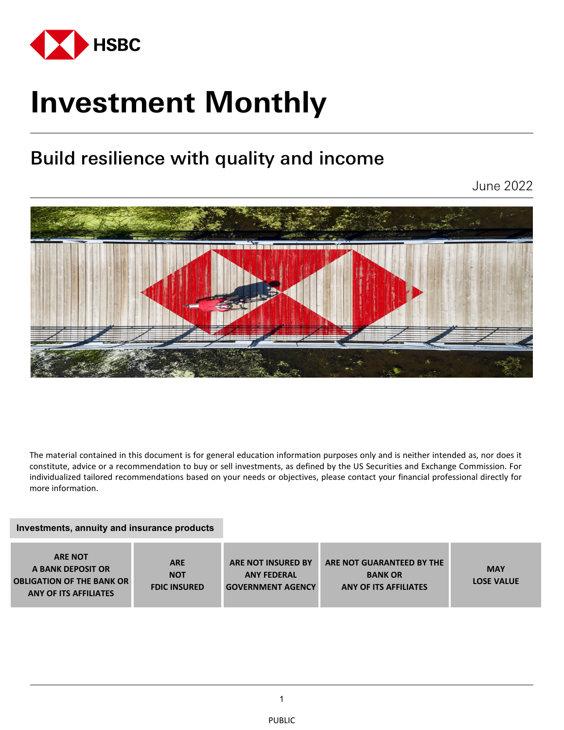

# **Investment Monthly**

# Build resilience with quality and income

June 2022



The material contained in this document is for general education information purposes only and is neither intended as, nor does it constitute, advice or a recommendation to buy or sell investments, as defined by the US Securities and Exchange Commission. For individualized tailored recommendations based on your needs or objectives, please contact your financial professional directly for more information.

#### **Investments, annuity and insurance products**

| <b>ARE NOT</b><br>A BANK DEPOSIT OR<br><b>OBLIGATION OF THE BANK OR</b><br><b>ANY OF ITS AFFILIATES</b> | <b>ARE</b><br><b>NOT</b><br><b>FDIC INSURED</b> | <b>ARE NOT INSURED BY</b><br><b>ANY FEDERAL</b><br><b>GOVERNMENT AGENCY</b> | ARE NOT GUARANTEED BY THE<br><b>BANK OR</b><br><b>ANY OF ITS AFFILIATES</b> | <b>MAY</b><br><b>LOSE VALUE</b> |
|---------------------------------------------------------------------------------------------------------|-------------------------------------------------|-----------------------------------------------------------------------------|-----------------------------------------------------------------------------|---------------------------------|
|---------------------------------------------------------------------------------------------------------|-------------------------------------------------|-----------------------------------------------------------------------------|-----------------------------------------------------------------------------|---------------------------------|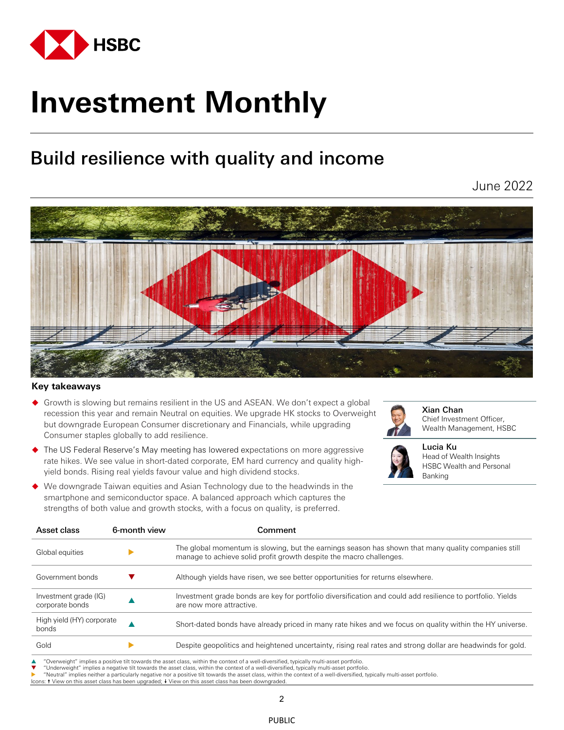

# **Investment Monthly**

# Build resilience with quality and income

June 2022



#### **Key takeaways**

- Growth is slowing but remains resilient in the US and ASEAN. We don't expect a global recession this year and remain Neutral on equities. We upgrade HK stocks to Overweight but downgrade European Consumer discretionary and Financials, while upgrading Consumer staples globally to add resilience.
	- The US Federal Reserve's May meeting has lowered expectations on more aggressive rate hikes. We see value in short-dated corporate, EM hard currency and quality highyield bonds. Rising real yields favour value and high dividend stocks.



Xian Chan Chief Investment Officer, Wealth Management, HSBC



Lucia Ku Head of Wealth Insights HSBC Wealth and Personal Banking

 We downgrade Taiwan equities and Asian Technology due to the headwinds in the smartphone and semiconductor space. A balanced approach which captures the strengths of both value and growth stocks, with a focus on quality, is preferred.

| Asset class                              | 6-month view | Comment                                                                                                                                                                    |
|------------------------------------------|--------------|----------------------------------------------------------------------------------------------------------------------------------------------------------------------------|
| Global equities                          |              | The global momentum is slowing, but the earnings season has shown that many quality companies still<br>manage to achieve solid profit growth despite the macro challenges. |
| Government bonds                         |              | Although yields have risen, we see better opportunities for returns elsewhere.                                                                                             |
| Investment grade (IG)<br>corporate bonds |              | Investment grade bonds are key for portfolio diversification and could add resilience to portfolio. Yields<br>are now more attractive.                                     |
| High yield (HY) corporate<br>bonds       |              | Short-dated bonds have already priced in many rate hikes and we focus on quality within the HY universe.                                                                   |
| Gold                                     |              | Despite geopolitics and heightened uncertainty, rising real rates and strong dollar are headwinds for gold.                                                                |

"Overweight" implies a positive tilt towards the asset class, within the context of a well-diversified, typically multi-asset portfolio.

"Underweight" implies a negative tilt towards the asset class, within the context of a well-diversified, typically multi-asset portfolio.

"Neutral" implies neither a particularly negative nor a positive tilt towards the asset class, within the context of a well-diversified, typically multi-asset portfolio.

ns: ↑ View on this asset class has been upgraded; ↓ View on this asset class has been downgraded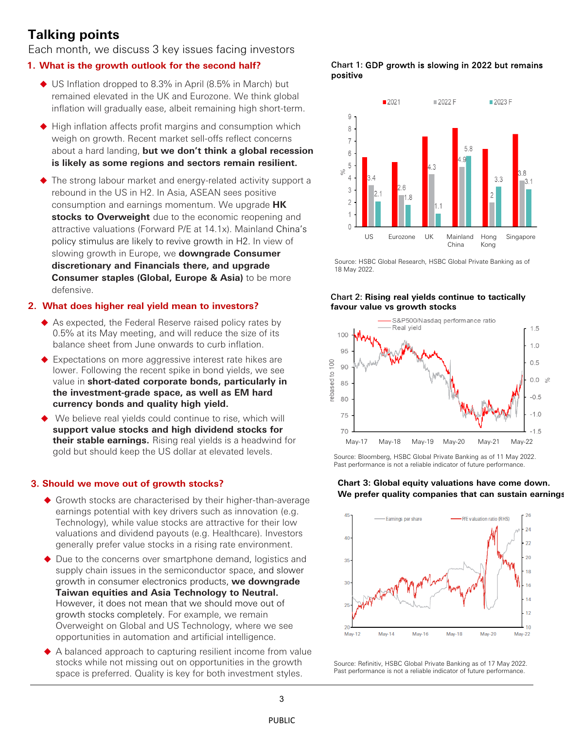## **Talking points**

Each month, we discuss 3 key issues facing investors

#### **1. What is the growth outlook for the second half?**

- ◆ US Inflation dropped to 8.3% in April (8.5% in March) but remained elevated in the UK and Eurozone. We think global inflation will gradually ease, albeit remaining high short-term.
- $\blacklozenge$  High inflation affects profit margins and consumption which weigh on growth. Recent market sell-offs reflect concerns about a hard landing, **but we don't think a global recession is likely as some regions and sectors remain resilient.**
- ◆ The strong labour market and energy-related activity support a rebound in the US in H2. In Asia, ASEAN sees positive consumption and earnings momentum. We upgrade **HK stocks to Overweight** due to the economic reopening and attractive valuations (Forward P/E at 14.1x). Mainland China's policy stimulus are likely to revive growth in H2. In view of slowing growth in Europe, we **downgrade Consumer discretionary and Financials there, and upgrade Consumer staples (Global, Europe & Asia)** to be more defensive.

#### **2. What does higher real yield mean to investors?**

- ◆ As expected, the Federal Reserve raised policy rates by 0.5% at its May meeting, and will reduce the size of its balance sheet from June onwards to curb inflation.
- ◆ Expectations on more aggressive interest rate hikes are lower. Following the recent spike in bond yields, we see value in **short-dated corporate bonds, particularly in the investment-grade space, as well as EM hard currency bonds and quality high yield.**
- We believe real yields could continue to rise, which will **support value stocks and high dividend stocks for their stable earnings.** Rising real yields is a headwind for gold but should keep the US dollar at elevated levels.

#### 3**. Should we move out of growth stocks?**

- Growth stocks are characterised by their higher-than-average earnings potential with key drivers such as innovation (e.g. Technology), while value stocks are attractive for their low valuations and dividend payouts (e.g. Healthcare). Investors generally prefer value stocks in a rising rate environment.
- ◆ Due to the concerns over smartphone demand, logistics and supply chain issues in the semiconductor space, and slower growth in consumer electronics products, **we downgrade Taiwan equities and Asia Technology to Neutral.**  However, it does not mean that we should move out of growth stocks completely. For example, we remain Overweight on Global and US Technology, where we see opportunities in automation and artificial intelligence.
- ◆ A balanced approach to capturing resilient income from value stocks while not missing out on opportunities in the growth space is preferred. Quality is key for both investment styles.

Chart 1: GDP growth is slowing in 2022 but remains positive



Source: HSBC Global Research, HSBC Global Private Banking as of 18 May 2022.

#### Chart 2: **Rising real yields continue to tactically favour value vs growth stocks**



Source: Bloomberg, HSBC Global Private Banking as of 11 May 2022. Past performance is not a reliable indicator of future performance.

#### **Chart 3: Global equity valuations have come down. We prefer quality companies that can sustain earnings**



Source: Refinitiv, HSBC Global Private Banking as of 17 May 2022. Past performance is not a reliable indicator of future performance.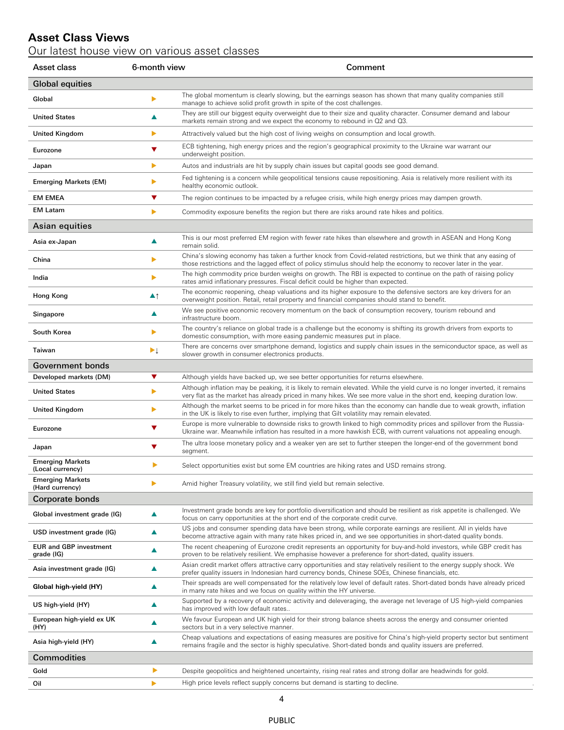### **Asset Class Views**

Our latest house view on various asset classes

| Asset class                                 | 6-month view                    | Comment                                                                                                                                                                                                                                            |  |  |
|---------------------------------------------|---------------------------------|----------------------------------------------------------------------------------------------------------------------------------------------------------------------------------------------------------------------------------------------------|--|--|
| <b>Global equities</b>                      |                                 |                                                                                                                                                                                                                                                    |  |  |
| Global                                      | ▶                               | The global momentum is clearly slowing, but the earnings season has shown that many quality companies still<br>manage to achieve solid profit growth in spite of the cost challenges.                                                              |  |  |
| <b>United States</b>                        | ▲                               | They are still our biggest equity overweight due to their size and quality character. Consumer demand and labour<br>markets remain strong and we expect the economy to rebound in Q2 and Q3.                                                       |  |  |
| United Kingdom                              | ▶                               | Attractively valued but the high cost of living weighs on consumption and local growth.                                                                                                                                                            |  |  |
| Eurozone                                    | ▼                               | ECB tightening, high energy prices and the region's geographical proximity to the Ukraine war warrant our<br>underweight position.                                                                                                                 |  |  |
| Japan                                       | ▶                               | Autos and industrials are hit by supply chain issues but capital goods see good demand.                                                                                                                                                            |  |  |
| <b>Emerging Markets (EM)</b>                | ▶                               | Fed tightening is a concern while geopolitical tensions cause repositioning. Asia is relatively more resilient with its<br>healthy economic outlook.                                                                                               |  |  |
| <b>EM EMEA</b>                              | ▼                               | The region continues to be impacted by a refugee crisis, while high energy prices may dampen growth.                                                                                                                                               |  |  |
| <b>EM Latam</b>                             | ▶                               | Commodity exposure benefits the region but there are risks around rate hikes and politics.                                                                                                                                                         |  |  |
| Asian equities                              |                                 |                                                                                                                                                                                                                                                    |  |  |
| Asia ex-Japan                               | ▲                               | This is our most preferred EM region with fewer rate hikes than elsewhere and growth in ASEAN and Hong Kong<br>remain solid.                                                                                                                       |  |  |
| China                                       | ▶                               | China's slowing economy has taken a further knock from Covid-related restrictions, but we think that any easing of<br>those restrictions and the lagged effect of policy stimulus should help the economy to recover later in the year.            |  |  |
| India                                       | ь                               | The high commodity price burden weighs on growth. The RBI is expected to continue on the path of raising policy<br>rates amid inflationary pressures. Fiscal deficit could be higher than expected.                                                |  |  |
| Hong Kong                                   | $\blacktriangle$ 1              | The economic reopening, cheap valuations and its higher exposure to the defensive sectors are key drivers for an<br>overweight position. Retail, retail property and financial companies should stand to benefit.                                  |  |  |
| Singapore                                   | ▲                               | We see positive economic recovery momentum on the back of consumption recovery, tourism rebound and<br>infrastructure boom.                                                                                                                        |  |  |
| South Korea                                 | ▶                               | The country's reliance on global trade is a challenge but the economy is shifting its growth drivers from exports to<br>domestic consumption, with more easing pandemic measures put in place.                                                     |  |  |
| Taiwan                                      | $\blacktriangleright\downarrow$ | There are concerns over smartphone demand, logistics and supply chain issues in the semiconductor space, as well as<br>slower growth in consumer electronics products.                                                                             |  |  |
| <b>Government bonds</b>                     |                                 |                                                                                                                                                                                                                                                    |  |  |
| Developed markets (DM)                      | ▼                               | Although yields have backed up, we see better opportunities for returns elsewhere.                                                                                                                                                                 |  |  |
| <b>United States</b>                        | ▶                               | Although inflation may be peaking, it is likely to remain elevated. While the yield curve is no longer inverted, it remains<br>very flat as the market has already priced in many hikes. We see more value in the short end, keeping duration low. |  |  |
| <b>United Kingdom</b>                       | ▶                               | Although the market seems to be priced in for more hikes than the economy can handle due to weak growth, inflation<br>in the UK is likely to rise even further, implying that Gilt volatility may remain elevated.                                 |  |  |
| Eurozone                                    | ▼                               | Europe is more vulnerable to downside risks to growth linked to high commodity prices and spillover from the Russia-<br>Ukraine war. Meanwhile inflation has resulted in a more hawkish ECB, with current valuations not appealing enough.         |  |  |
| Japan                                       | ▼                               | The ultra loose monetary policy and a weaker yen are set to further steepen the longer-end of the government bond<br>segment.                                                                                                                      |  |  |
| <b>Emerging Markets</b><br>(Local currency) |                                 | Select opportunities exist but some EM countries are hiking rates and USD remains strong.                                                                                                                                                          |  |  |
| <b>Emerging Markets</b><br>(Hard currency)  | ▶                               | Amid higher Treasury volatility, we still find yield but remain selective.                                                                                                                                                                         |  |  |
| Corporate bonds                             |                                 |                                                                                                                                                                                                                                                    |  |  |
| Global investment grade (IG)                | ▲                               | Investment grade bonds are key for portfolio diversification and should be resilient as risk appetite is challenged. We<br>focus on carry opportunities at the short end of the corporate credit curve.                                            |  |  |
| USD investment grade (IG)                   | ▲                               | US jobs and consumer spending data have been strong, while corporate earnings are resilient. All in yields have<br>become attractive again with many rate hikes priced in, and we see opportunities in short-dated quality bonds.                  |  |  |
| <b>EUR and GBP investment</b><br>grade (IG) | ▲                               | The recent cheapening of Eurozone credit represents an opportunity for buy-and-hold investors, while GBP credit has<br>proven to be relatively resilient. We emphasise however a preference for short-dated, quality issuers.                      |  |  |
| Asia investment grade (IG)                  | ▲                               | Asian credit market offers attractive carry opportunities and stay relatively resilient to the energy supply shock. We<br>prefer quality issuers in Indonesian hard currency bonds, Chinese SOEs, Chinese financials, etc.                         |  |  |
| Global high-yield (HY)                      | ▲                               | Their spreads are well compensated for the relatively low level of default rates. Short-dated bonds have already priced<br>in many rate hikes and we focus on quality within the HY universe.                                                      |  |  |
| US high-yield (HY)                          | ▲                               | Supported by a recovery of economic activity and deleveraging, the average net leverage of US high-yield companies<br>has improved with low default rates                                                                                          |  |  |
| European high-yield ex UK<br>(HY)           | ▲                               | We favour European and UK high yield for their strong balance sheets across the energy and consumer oriented<br>sectors but in a very selective manner.                                                                                            |  |  |
| Asia high-yield (HY)                        | ▲                               | Cheap valuations and expectations of easing measures are positive for China's high-yield property sector but sentiment<br>remains fragile and the sector is highly speculative. Short-dated bonds and quality issuers are preferred.               |  |  |
| <b>Commodities</b>                          |                                 |                                                                                                                                                                                                                                                    |  |  |
| Gold                                        | ▶                               | Despite geopolitics and heightened uncertainty, rising real rates and strong dollar are headwinds for gold.                                                                                                                                        |  |  |
| Oil                                         | ▶                               | High price levels reflect supply concerns but demand is starting to decline.                                                                                                                                                                       |  |  |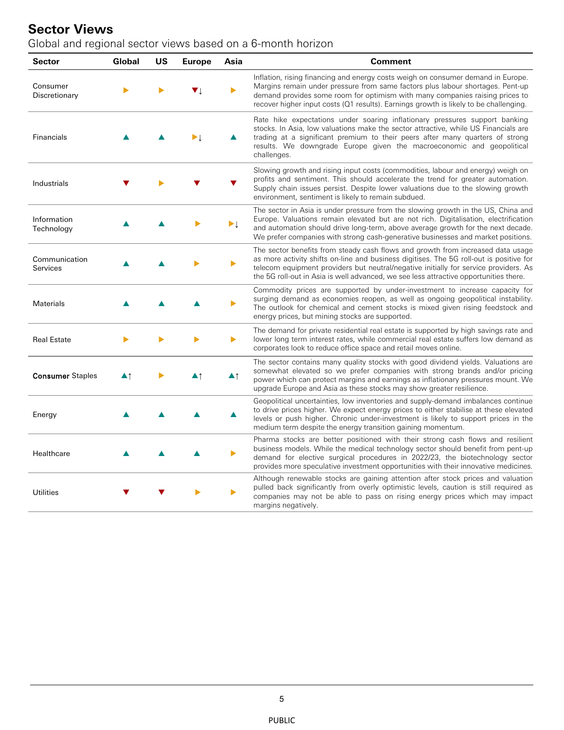## **Sector Views**

Global and regional sector views based on a 6-month horizon

| Sector                    | Global | US | <b>Europe</b> | Asia | <b>Comment</b>                                                                                                                                                                                                                                                                                                                                              |
|---------------------------|--------|----|---------------|------|-------------------------------------------------------------------------------------------------------------------------------------------------------------------------------------------------------------------------------------------------------------------------------------------------------------------------------------------------------------|
| Consumer<br>Discretionary |        |    | V I           |      | Inflation, rising financing and energy costs weigh on consumer demand in Europe.<br>Margins remain under pressure from same factors plus labour shortages. Pent-up<br>demand provides some room for optimism with many companies raising prices to<br>recover higher input costs (Q1 results). Earnings growth is likely to be challenging.                 |
| <b>Financials</b>         |        |    |               |      | Rate hike expectations under soaring inflationary pressures support banking<br>stocks. In Asia, low valuations make the sector attractive, while US Financials are<br>trading at a significant premium to their peers after many quarters of strong<br>results. We downgrade Europe given the macroeconomic and geopolitical<br>challenges.                 |
| Industrials               |        |    |               |      | Slowing growth and rising input costs (commodities, labour and energy) weigh on<br>profits and sentiment. This should accelerate the trend for greater automation.<br>Supply chain issues persist. Despite lower valuations due to the slowing growth<br>environment, sentiment is likely to remain subdued.                                                |
| Information<br>Technology |        |    |               | ▶↓   | The sector in Asia is under pressure from the slowing growth in the US, China and<br>Europe. Valuations remain elevated but are not rich. Digitalisation, electrification<br>and automation should drive long-term, above average growth for the next decade.<br>We prefer companies with strong cash-generative businesses and market positions.           |
| Communication<br>Services |        |    |               |      | The sector benefits from steady cash flows and growth from increased data usage<br>as more activity shifts on-line and business digitises. The 5G roll-out is positive for<br>telecom equipment providers but neutral/negative initially for service providers. As<br>the 5G roll-out in Asia is well advanced, we see less attractive opportunities there. |
| Materials                 |        |    |               |      | Commodity prices are supported by under-investment to increase capacity for<br>surging demand as economies reopen, as well as ongoing geopolitical instability.<br>The outlook for chemical and cement stocks is mixed given rising feedstock and<br>energy prices, but mining stocks are supported.                                                        |
| <b>Real Estate</b>        |        |    |               |      | The demand for private residential real estate is supported by high savings rate and<br>lower long term interest rates, while commercial real estate suffers low demand as<br>corporates look to reduce office space and retail moves online.                                                                                                               |
| <b>Consumer Staples</b>   | ▲↑     |    |               | ▲↑   | The sector contains many quality stocks with good dividend yields. Valuations are<br>somewhat elevated so we prefer companies with strong brands and/or pricing<br>power which can protect margins and earnings as inflationary pressures mount. We<br>upgrade Europe and Asia as these stocks may show greater resilience.                                 |
| Energy                    |        |    |               | ▲    | Geopolitical uncertainties, low inventories and supply-demand imbalances continue<br>to drive prices higher. We expect energy prices to either stabilise at these elevated<br>levels or push higher. Chronic under-investment is likely to support prices in the<br>medium term despite the energy transition gaining momentum.                             |
| Healthcare                |        |    |               |      | Pharma stocks are better positioned with their strong cash flows and resilient<br>business models. While the medical technology sector should benefit from pent-up<br>demand for elective surgical procedures in 2022/23, the biotechnology sector<br>provides more speculative investment opportunities with their innovative medicines.                   |
| <b>Utilities</b>          |        |    |               |      | Although renewable stocks are gaining attention after stock prices and valuation<br>pulled back significantly from overly optimistic levels, caution is still required as<br>companies may not be able to pass on rising energy prices which may impact<br>margins negatively.                                                                              |